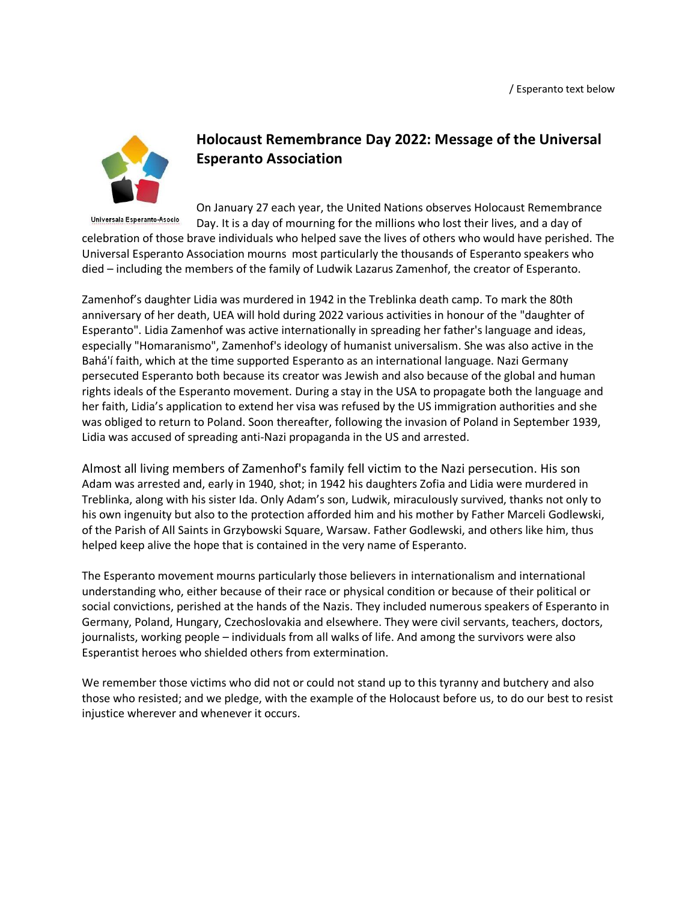

## **Holocaust Remembrance Day 2022: Message of the Universal Esperanto Association**

On January 27 each year, the United Nations observes Holocaust Remembrance Universala Esperanto-Asocio Day. It is a day of mourning for the millions who lost their lives, and a day of celebration of those brave individuals who helped save the lives of others who would have perished. The Universal Esperanto Association mourns most particularly the thousands of Esperanto speakers who died – including the members of the family of Ludwik Lazarus Zamenhof, the creator of Esperanto.

Zamenhof's daughter Lidia was murdered in 1942 in the Treblinka death camp. To mark the 80th anniversary of her death, UEA will hold during 2022 various activities in honour of the "daughter of Esperanto". Lidia Zamenhof was active internationally in spreading her father's language and ideas, especially "Homaranismo", Zamenhof's ideology of humanist universalism. She was also active in the Bahá'í faith, which at the time supported Esperanto as an international language. Nazi Germany persecuted Esperanto both because its creator was Jewish and also because of the global and human rights ideals of the Esperanto movement. During a stay in the USA to propagate both the language and her faith, Lidia's application to extend her visa was refused by the US immigration authorities and she was obliged to return to Poland. Soon thereafter, following the invasion of Poland in September 1939, Lidia was accused of spreading anti-Nazi propaganda in the US and arrested.

Almost all living members of Zamenhof's family fell victim to the Nazi persecution. His son Adam was arrested and, early in 1940, shot; in 1942 his daughters Zofia and Lidia were murdered in Treblinka, along with his sister Ida. Only Adam's son, Ludwik, miraculously survived, thanks not only to his own ingenuity but also to the protection afforded him and his mother by Father Marceli Godlewski, of the Parish of All Saints in Grzybowski Square, Warsaw. Father Godlewski, and others like him, thus helped keep alive the hope that is contained in the very name of Esperanto.

The Esperanto movement mourns particularly those believers in internationalism and international understanding who, either because of their race or physical condition or because of their political or social convictions, perished at the hands of the Nazis. They included numerous speakers of Esperanto in Germany, Poland, Hungary, Czechoslovakia and elsewhere. They were civil servants, teachers, doctors, journalists, working people – individuals from all walks of life. And among the survivors were also Esperantist heroes who shielded others from extermination.

We remember those victims who did not or could not stand up to this tyranny and butchery and also those who resisted; and we pledge, with the example of the Holocaust before us, to do our best to resist injustice wherever and whenever it occurs.